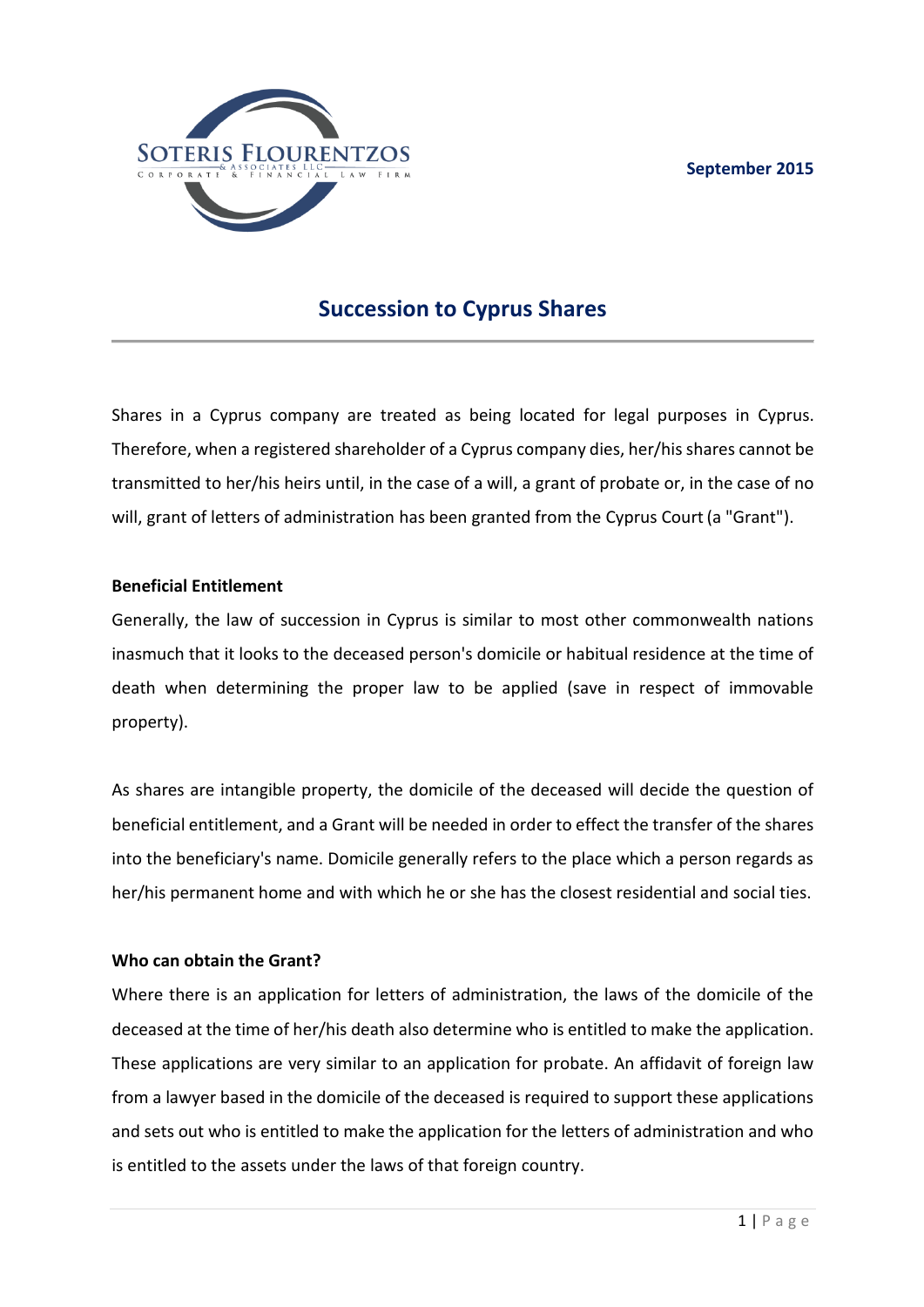

# **Succession to Cyprus Shares**

Shares in a Cyprus company are treated as being located for legal purposes in Cyprus. Therefore, when a registered shareholder of a Cyprus company dies, her/his shares cannot be transmitted to her/his heirs until, in the case of a will, a grant of probate or, in the case of no will, grant of letters of administration has been granted from the Cyprus Court (a "Grant").

## **Beneficial Entitlement**

Generally, the law of succession in Cyprus is similar to most other commonwealth nations inasmuch that it looks to the deceased person's domicile or habitual residence at the time of death when determining the proper law to be applied (save in respect of immovable property).

As shares are intangible property, the domicile of the deceased will decide the question of beneficial entitlement, and a Grant will be needed in order to effect the transfer of the shares into the beneficiary's name. Domicile generally refers to the place which a person regards as her/his permanent home and with which he or she has the closest residential and social ties.

### **Who can obtain the Grant?**

Where there is an application for letters of administration, the laws of the domicile of the deceased at the time of her/his death also determine who is entitled to make the application. These applications are very similar to an application for probate. An affidavit of foreign law from a lawyer based in the domicile of the deceased is required to support these applications and sets out who is entitled to make the application for the letters of administration and who is entitled to the assets under the laws of that foreign country.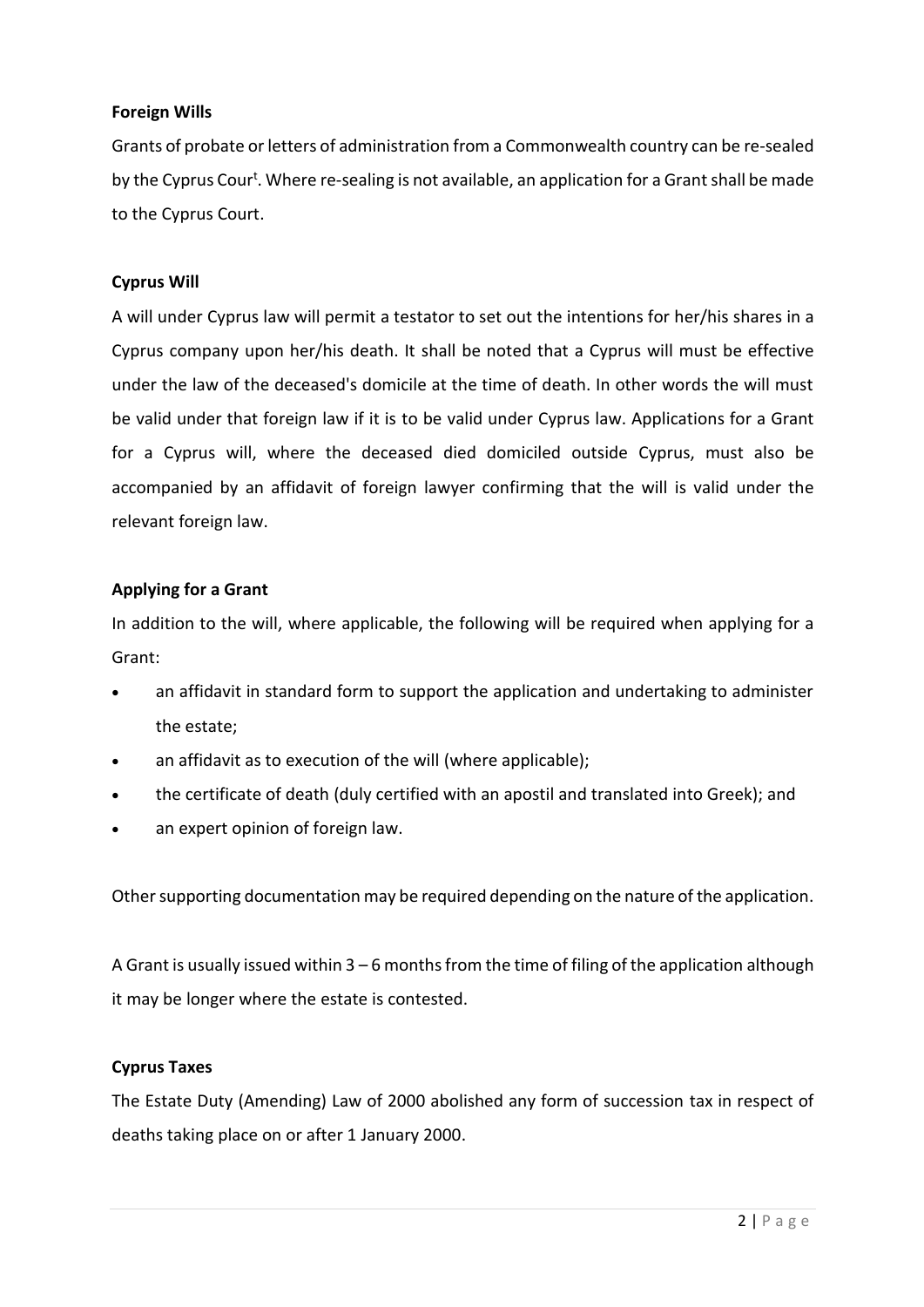## **Foreign Wills**

Grants of probate or letters of administration from a Commonwealth country can be re-sealed by the Cyprus Cour<sup>t</sup>. Where re-sealing is not available, an application for a Grant shall be made to the Cyprus Court.

## **Cyprus Will**

A will under Cyprus law will permit a testator to set out the intentions for her/his shares in a Cyprus company upon her/his death. It shall be noted that a Cyprus will must be effective under the law of the deceased's domicile at the time of death. In other words the will must be valid under that foreign law if it is to be valid under Cyprus law. Applications for a Grant for a Cyprus will, where the deceased died domiciled outside Cyprus, must also be accompanied by an affidavit of foreign lawyer confirming that the will is valid under the relevant foreign law.

### **Applying for a Grant**

In addition to the will, where applicable, the following will be required when applying for a Grant:

- an affidavit in standard form to support the application and undertaking to administer the estate;
- an affidavit as to execution of the will (where applicable);
- the certificate of death (duly certified with an apostil and translated into Greek); and
- an expert opinion of foreign law.

Other supporting documentation may be required depending on the nature of the application.

A Grant is usually issued within 3 – 6 months from the time of filing of the application although it may be longer where the estate is contested.

### **Cyprus Taxes**

The Estate Duty (Amending) Law of 2000 abolished any form of succession tax in respect of deaths taking place on or after 1 January 2000.